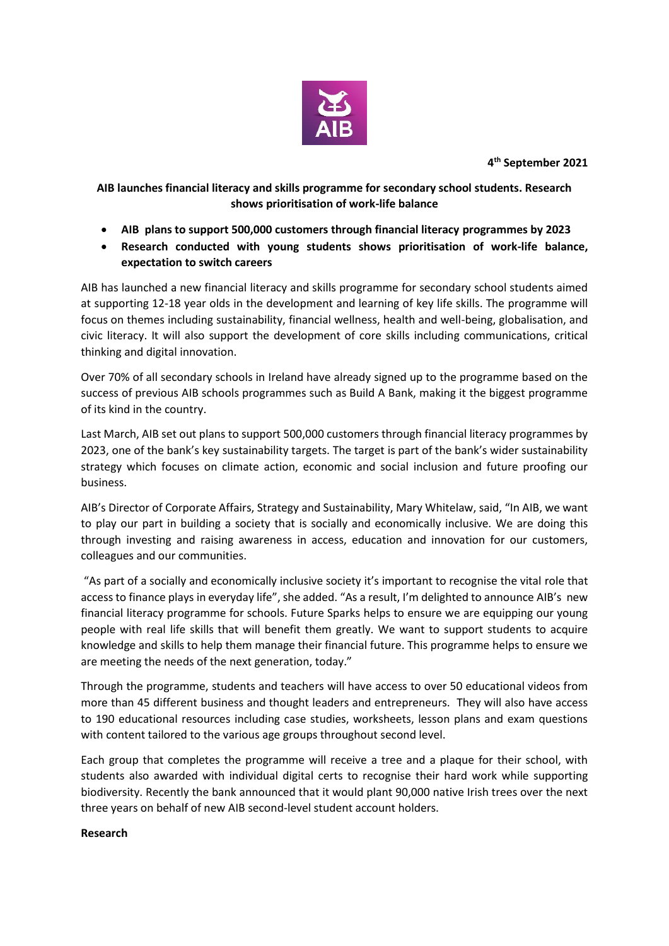

**4 th September 2021**

## **AIB launches financial literacy and skills programme for secondary school students. Research shows prioritisation of work-life balance**

- **AIB plans to support 500,000 customers through financial literacy programmes by 2023**
- **Research conducted with young students shows prioritisation of work-life balance, expectation to switch careers**

AIB has launched a new financial literacy and skills programme for secondary school students aimed at supporting 12-18 year olds in the development and learning of key life skills. The programme will focus on themes including sustainability, financial wellness, health and well-being, globalisation, and civic literacy. It will also support the development of core skills including communications, critical thinking and digital innovation.

Over 70% of all secondary schools in Ireland have already signed up to the programme based on the success of previous AIB schools programmes such as Build A Bank, making it the biggest programme of its kind in the country.

Last March, AIB set out plans to support 500,000 customers through financial literacy programmes by 2023, one of the bank's key sustainability targets. The target is part of the bank's wider sustainability strategy which focuses on climate action, economic and social inclusion and future proofing our business.

AIB's Director of Corporate Affairs, Strategy and Sustainability, Mary Whitelaw, said, "In AIB, we want to play our part in building a society that is socially and economically inclusive. We are doing this through investing and raising awareness in access, education and innovation for our customers, colleagues and our communities.

"As part of a socially and economically inclusive society it's important to recognise the vital role that access to finance plays in everyday life", she added. "As a result, I'm delighted to announce AIB's new financial literacy programme for schools. Future Sparks helps to ensure we are equipping our young people with real life skills that will benefit them greatly. We want to support students to acquire knowledge and skills to help them manage their financial future. This programme helps to ensure we are meeting the needs of the next generation, today."

Through the programme, students and teachers will have access to over 50 educational videos from more than 45 different business and thought leaders and entrepreneurs. They will also have access to 190 educational resources including case studies, worksheets, lesson plans and exam questions with content tailored to the various age groups throughout second level.

Each group that completes the programme will receive a tree and a plaque for their school, with students also awarded with individual digital certs to recognise their hard work while supporting biodiversity. Recently the bank announced that it would plant 90,000 native Irish trees over the next three years on behalf of new AIB second-level student account holders.

## **Research**